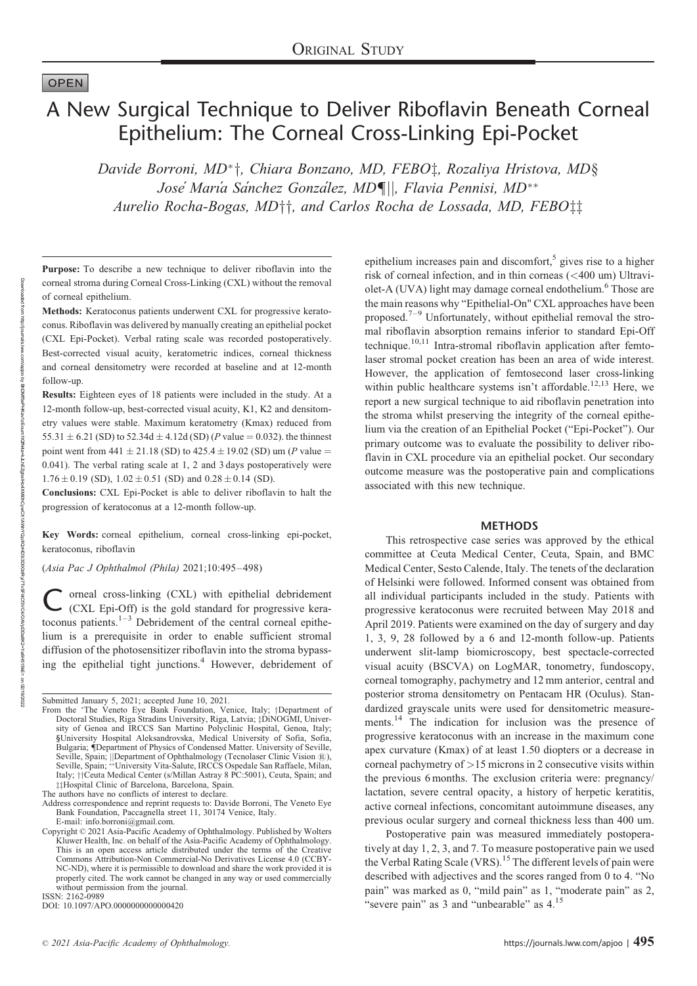# OPEN

Downloaded

from uch utdo://partnar

http://journals.lww.com/apjoo

ponapjoo by BhuwitbePHKavizEourn

HULLOUN

BhDMf5ePHKav1zEoum1tQfA4a+kJLhEZgbsIHo4XXMi0hCywCX1AWnYQp/IlQrHD3i3D0OQRRyi7TvSFl4Cf3VC4QDQ4QYpDDa8K2+Ya6H515kE=

a+kJLhEZgbsIHo4XMi0hCywCX1AWhYQp/IIQHD3i3D0OdRy/T1vSFl4Cf3VC4/OAVpDDa8K2+Ya6H515kE= on 02/19/202

# A New Surgical Technique to Deliver Riboflavin Beneath Corneal Epithelium: The Corneal Cross-Linking Epi-Pocket

Davide Borroni, MD<sup>\*</sup>†, Chiara Bonzano, MD, FEBO‡, Rozaliya Hristova, MD§ Jose' María Sánchez González, MD¶||, Flavia Pennisi, MD<sup>\*\*</sup> Aurelio Rocha-Bogas, MD<sup>++</sup>, and Carlos Rocha de Lossada, MD, FEBO<sup>++</sup>

Purpose: To describe a new technique to deliver riboflavin into the corneal stroma during Corneal Cross-Linking (CXL) without the removal of corneal epithelium.

Methods: Keratoconus patients underwent CXL for progressive keratoconus. Riboflavin was delivered by manually creating an epithelial pocket (CXL Epi-Pocket). Verbal rating scale was recorded postoperatively. Best-corrected visual acuity, keratometric indices, corneal thickness and corneal densitometry were recorded at baseline and at 12-month follow-up.

Results: Eighteen eyes of 18 patients were included in the study. At a 12-month follow-up, best-corrected visual acuity, K1, K2 and densitometry values were stable. Maximum keratometry (Kmax) reduced from 55.31  $\pm$  6.21 (SD) to 52.34d  $\pm$  4.12d (SD) (P value = 0.032). the thinnest point went from 441  $\pm$  21.18 (SD) to 425.4  $\pm$  19.02 (SD) um (P value  $=$ 0.041). The verbal rating scale at 1, 2 and 3 days postoperatively were  $1.76 \pm 0.19$  (SD),  $1.02 \pm 0.51$  (SD) and  $0.28 \pm 0.14$  (SD).

Conclusions: CXL Epi-Pocket is able to deliver riboflavin to halt the progression of keratoconus at a 12-month follow-up.

Key Words: corneal epithelium, corneal cross-linking epi-pocket, keratoconus, riboflavin

(Asia Pac J Ophthalmol (Phila) 2021;10:495–498)

C orneal cross-linking (CXL) with epithelial debridement<br>(CXL Epi-Off) is the gold standard for progressive keratoconus patients. $1-3$  Debridement of the central corneal epithelium is a prerequisite in order to enable sufficient stromal diffusion of the photosensitizer riboflavin into the stroma bypassing the epithelial tight junctions.<sup>4</sup> However, debridement of

ISSN: 2162-0989

epithelium increases pain and discomfort,<sup>5</sup> gives rise to a higher risk of corneal infection, and in thin corneas (<400 um) Ultraviolet-A (UVA) light may damage corneal endothelium.<sup>6</sup> Those are the main reasons why "Epithelial-On" CXL approaches have been proposed.<sup>7–9</sup> Unfortunately, without epithelial removal the stromal riboflavin absorption remains inferior to standard Epi-Off technique.<sup>10,11</sup> Intra-stromal riboflavin application after femtolaser stromal pocket creation has been an area of wide interest. However, the application of femtosecond laser cross-linking within public healthcare systems isn't affordable.<sup>12,13</sup> Here, we report a new surgical technique to aid riboflavin penetration into the stroma whilst preserving the integrity of the corneal epithelium via the creation of an Epithelial Pocket ("Epi-Pocket"). Our primary outcome was to evaluate the possibility to deliver riboflavin in CXL procedure via an epithelial pocket. Our secondary outcome measure was the postoperative pain and complications associated with this new technique.

#### METHODS

This retrospective case series was approved by the ethical committee at Ceuta Medical Center, Ceuta, Spain, and BMC Medical Center, Sesto Calende, Italy. The tenets of the declaration of Helsinki were followed. Informed consent was obtained from all individual participants included in the study. Patients with progressive keratoconus were recruited between May 2018 and April 2019. Patients were examined on the day of surgery and day 1, 3, 9, 28 followed by a 6 and 12-month follow-up. Patients underwent slit-lamp biomicroscopy, best spectacle-corrected visual acuity (BSCVA) on LogMAR, tonometry, fundoscopy, corneal tomography, pachymetry and 12 mm anterior, central and posterior stroma densitometry on Pentacam HR (Oculus). Standardized grayscale units were used for densitometric measurements.14 The indication for inclusion was the presence of progressive keratoconus with an increase in the maximum cone apex curvature (Kmax) of at least 1.50 diopters or a decrease in corneal pachymetry of  $>15$  microns in 2 consecutive visits within the previous 6 months. The exclusion criteria were: pregnancy/ lactation, severe central opacity, a history of herpetic keratitis, active corneal infections, concomitant autoimmune diseases, any previous ocular surgery and corneal thickness less than 400 um.

Postoperative pain was measured immediately postoperatively at day 1, 2, 3, and 7. To measure postoperative pain we used the Verbal Rating Scale (VRS).<sup>15</sup> The different levels of pain were described with adjectives and the scores ranged from 0 to 4. "No pain" was marked as 0, "mild pain" as 1, "moderate pain" as 2, "severe pain" as 3 and "unbearable" as  $4.15$ 

02/19/2022

Submitted January 5, 2021; accepted June 10, 2021.

From the \*The Veneto Eye Bank Foundation, Venice, Italy; †Department of Doctoral Studies, Riga Stradins University, Riga, Latvia; ‡DiNOGMI, Univer-<br>sity of Genoa and IRCCS San Martino Polyclinic Hospital, Genoa, Italy; §University Hospital Aleksandrovska, Medical University of Sofia, Sofia, Bulgaria; {Department of Physics of Condensed Matter. University of Seville, Seville, Spain; ||Department of Ophthalmology (Tecnolaser Clinic Vision ®),<br>Seville, Spain; \*\*University Vita-Salute, IRCCS Ospedale San Raffaele, Milan, Italy;  $\dagger$ Ceuta Medical Center (s/Millan Astray 8 PC:5001), Ceuta, Spain; and  $\ddagger$ #Hospital Clinic of Barcelona, Barcelona, Spain.

The authors have no conflicts of interest to declare.

Address correspondence and reprint requests to: Davide Borroni, The Veneto Eye Bank Foundation, Paccagnella street 11, 30174 Venice, Italy. E-mail: [info.borroni@gmail.com.](mailto:info.borroni@gmail.com)

Copyright © 2021 Asia-Pacific Academy of Ophthalmology. Published by Wolters Kluwer Health, Inc. on behalf of the Asia-Pacific Academy of Ophthalmology. This is an open access article distributed under the terms of the [Creative](http://creativecommons.org/licenses/by-nc-nd/4.0) [Commons Attribution-Non Commercial-No Derivatives License 4.0](http://creativecommons.org/licenses/by-nc-nd/4.0) (CCBY-NC-ND), where it is permissible to download and share the work provided it is properly cited. The work cannot be changed in any way or used commercially without permission from the journal.

DOI: 10.1097/APO.0000000000000420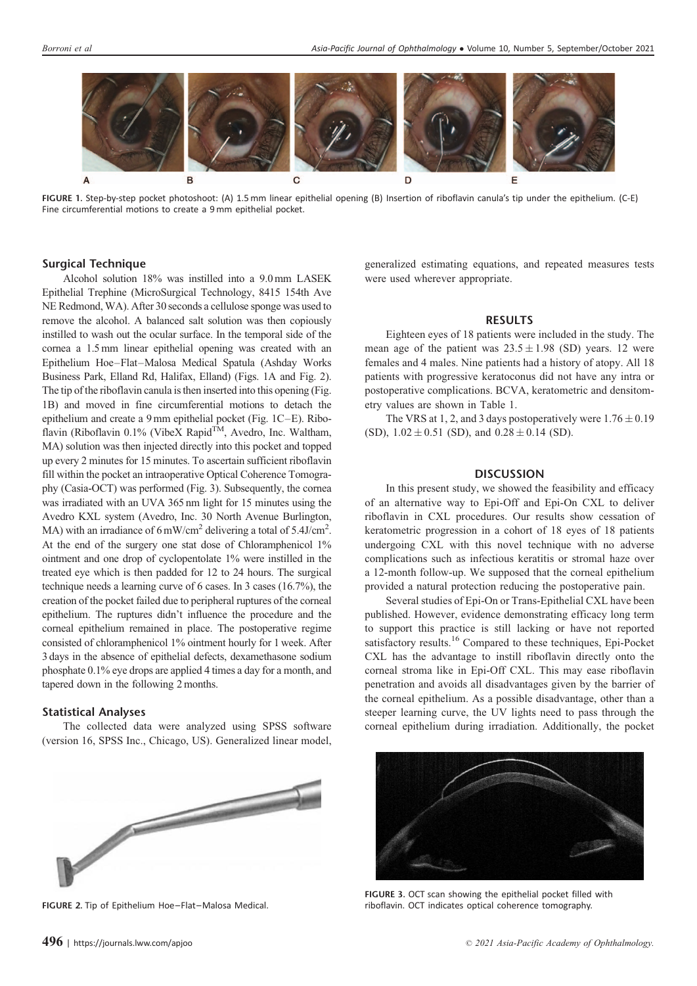

FIGURE 1. Step-by-step pocket photoshoot: (A) 1.5 mm linear epithelial opening (B) Insertion of riboflavin canula's tip under the epithelium. (C-E) Fine circumferential motions to create a 9 mm epithelial pocket.

# Surgical Technique

Alcohol solution 18% was instilled into a 9.0 mm LASEK Epithelial Trephine (MicroSurgical Technology, 8415 154th Ave NE Redmond, WA). After 30 seconds a cellulose sponge was used to remove the alcohol. A balanced salt solution was then copiously instilled to wash out the ocular surface. In the temporal side of the cornea a 1.5 mm linear epithelial opening was created with an Epithelium Hoe–Flat–Malosa Medical Spatula (Ashday Works Business Park, Elland Rd, Halifax, Elland) (Figs. 1A and Fig. 2). The tip of the riboflavin canula is then inserted into this opening (Fig. 1B) and moved in fine circumferential motions to detach the epithelium and create a 9 mm epithelial pocket (Fig. 1C–E). Riboflavin (Riboflavin 0.1% (VibeX Rapid<sup>TM</sup>, Avedro, Inc. Waltham, MA) solution was then injected directly into this pocket and topped up every 2 minutes for 15 minutes. To ascertain sufficient riboflavin fill within the pocket an intraoperative Optical Coherence Tomography (Casia-OCT) was performed (Fig. 3). Subsequently, the cornea was irradiated with an UVA 365 nm light for 15 minutes using the Avedro KXL system (Avedro, Inc. 30 North Avenue Burlington, MA) with an irradiance of  $6 \text{ mW/cm}^2$  delivering a total of  $5.4 \text{J/cm}^2$ . At the end of the surgery one stat dose of Chloramphenicol 1% ointment and one drop of cyclopentolate 1% were instilled in the treated eye which is then padded for 12 to 24 hours. The surgical technique needs a learning curve of 6 cases. In 3 cases (16.7%), the creation of the pocket failed due to peripheral ruptures of the corneal epithelium. The ruptures didn't influence the procedure and the corneal epithelium remained in place. The postoperative regime consisted of chloramphenicol 1% ointment hourly for 1 week. After 3 days in the absence of epithelial defects, dexamethasone sodium phosphate 0.1% eye drops are applied 4 times a day for a month, and tapered down in the following 2 months.

# Statistical Analyses

The collected data were analyzed using SPSS software (version 16, SPSS Inc., Chicago, US). Generalized linear model,



FIGURE 2. Tip of Epithelium Hoe–Flat–Malosa Medical.

generalized estimating equations, and repeated measures tests were used wherever appropriate.

# RESULTS

Eighteen eyes of 18 patients were included in the study. The mean age of the patient was  $23.5 \pm 1.98$  (SD) years. 12 were females and 4 males. Nine patients had a history of atopy. All 18 patients with progressive keratoconus did not have any intra or postoperative complications. BCVA, keratometric and densitometry values are shown in Table 1.

The VRS at 1, 2, and 3 days postoperatively were  $1.76 \pm 0.19$ (SD),  $1.02 \pm 0.51$  (SD), and  $0.28 \pm 0.14$  (SD).

#### **DISCUSSION**

In this present study, we showed the feasibility and efficacy of an alternative way to Epi-Off and Epi-On CXL to deliver riboflavin in CXL procedures. Our results show cessation of keratometric progression in a cohort of 18 eyes of 18 patients undergoing CXL with this novel technique with no adverse complications such as infectious keratitis or stromal haze over a 12-month follow-up. We supposed that the corneal epithelium provided a natural protection reducing the postoperative pain.

Several studies of Epi-On or Trans-Epithelial CXL have been published. However, evidence demonstrating efficacy long term to support this practice is still lacking or have not reported satisfactory results.<sup>16</sup> Compared to these techniques, Epi-Pocket CXL has the advantage to instill riboflavin directly onto the corneal stroma like in Epi-Off CXL. This may ease riboflavin penetration and avoids all disadvantages given by the barrier of the corneal epithelium. As a possible disadvantage, other than a steeper learning curve, the UV lights need to pass through the corneal epithelium during irradiation. Additionally, the pocket



FIGURE 3. OCT scan showing the epithelial pocket filled with riboflavin. OCT indicates optical coherence tomography.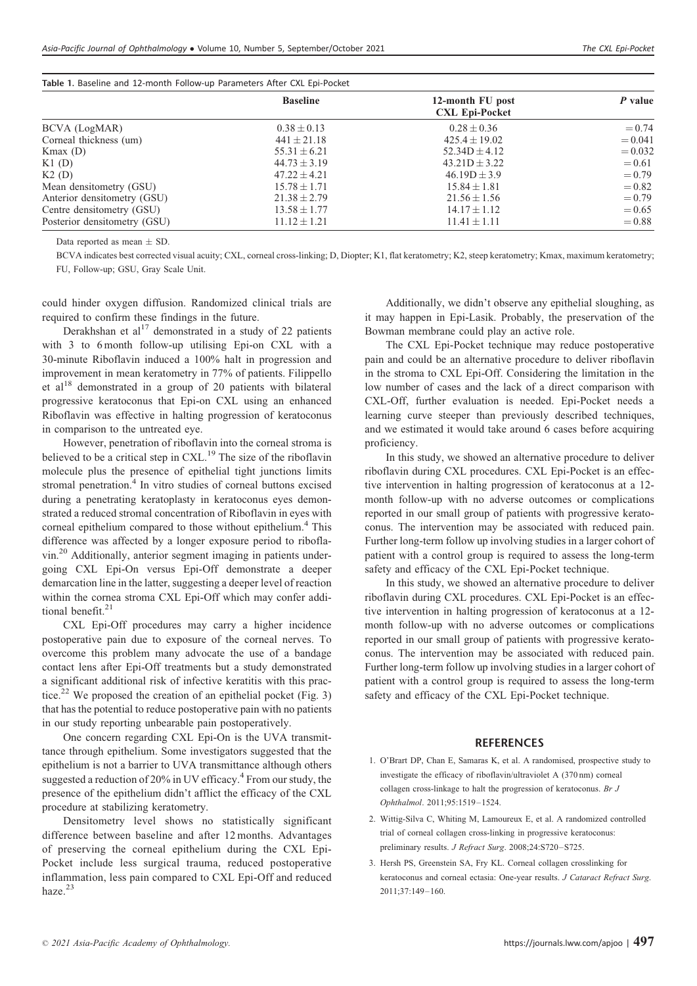| Table 1. Baseline and 12-month Follow-up Parameters After CXL Epi-Pocket |                  |                                           |           |
|--------------------------------------------------------------------------|------------------|-------------------------------------------|-----------|
|                                                                          | <b>Baseline</b>  | 12-month FU post<br><b>CXL Epi-Pocket</b> | P value   |
| BCVA (LogMAR)                                                            | $0.38 \pm 0.13$  | $0.28 \pm 0.36$                           | $= 0.74$  |
| Corneal thickness (um)                                                   | $441 \pm 21.18$  | $425.4 \pm 19.02$                         | $= 0.041$ |
| Kmax(D)                                                                  | $55.31 \pm 6.21$ | $52.34D \pm 4.12$                         | $= 0.032$ |
| $K1$ (D)                                                                 | $44.73 + 3.19$   | $43.21D + 3.22$                           | $= 0.61$  |
| K2(D)                                                                    | $47.22 + 4.21$   | $46.19D \pm 3.9$                          | $= 0.79$  |
| Mean densitometry (GSU)                                                  | $15.78 \pm 1.71$ | $15.84 \pm 1.81$                          | $= 0.82$  |
| Anterior densitometry (GSU)                                              | $21.38 \pm 2.79$ | $21.56 \pm 1.56$                          | $= 0.79$  |
| Centre densitometry (GSU)                                                | $13.58 \pm 1.77$ | $14.17 \pm 1.12$                          | $= 0.65$  |
| Posterior densitometry (GSU)                                             | $11.12 \pm 1.21$ | $11.41 \pm 1.11$                          | $= 0.88$  |

Data reported as mean  $\pm$  SD.

BCVA indicates best corrected visual acuity; CXL, corneal cross-linking; D, Diopter; K1, flat keratometry; K2, steep keratometry; Kmax, maximum keratometry; FU, Follow-up; GSU, Gray Scale Unit.

could hinder oxygen diffusion. Randomized clinical trials are required to confirm these findings in the future.

Derakhshan et  $al<sup>17</sup>$  demonstrated in a study of 22 patients with 3 to 6 month follow-up utilising Epi-on CXL with a 30-minute Riboflavin induced a 100% halt in progression and improvement in mean keratometry in 77% of patients. Filippello et al<sup>18</sup> demonstrated in a group of 20 patients with bilateral progressive keratoconus that Epi-on CXL using an enhanced Riboflavin was effective in halting progression of keratoconus in comparison to the untreated eye.

However, penetration of riboflavin into the corneal stroma is believed to be a critical step in  $CXL$ <sup>19</sup> The size of the riboflavin molecule plus the presence of epithelial tight junctions limits stromal penetration.<sup>4</sup> In vitro studies of corneal buttons excised during a penetrating keratoplasty in keratoconus eyes demonstrated a reduced stromal concentration of Riboflavin in eyes with corneal epithelium compared to those without epithelium.<sup>4</sup> This difference was affected by a longer exposure period to riboflavin.<sup>20</sup> Additionally, anterior segment imaging in patients undergoing CXL Epi-On versus Epi-Off demonstrate a deeper demarcation line in the latter, suggesting a deeper level of reaction within the cornea stroma CXL Epi-Off which may confer additional benefit. $21$ 

CXL Epi-Off procedures may carry a higher incidence postoperative pain due to exposure of the corneal nerves. To overcome this problem many advocate the use of a bandage contact lens after Epi-Off treatments but a study demonstrated a significant additional risk of infective keratitis with this practice.<sup>22</sup> We proposed the creation of an epithelial pocket (Fig. 3) that has the potential to reduce postoperative pain with no patients in our study reporting unbearable pain postoperatively.

One concern regarding CXL Epi-On is the UVA transmittance through epithelium. Some investigators suggested that the epithelium is not a barrier to UVA transmittance although others suggested a reduction of 20% in UV efficacy.<sup>4</sup> From our study, the presence of the epithelium didn't afflict the efficacy of the CXL procedure at stabilizing keratometry.

Densitometry level shows no statistically significant difference between baseline and after 12 months. Advantages of preserving the corneal epithelium during the CXL Epi-Pocket include less surgical trauma, reduced postoperative inflammation, less pain compared to CXL Epi-Off and reduced haze.<sup>23</sup>

Additionally, we didn't observe any epithelial sloughing, as it may happen in Epi-Lasik. Probably, the preservation of the Bowman membrane could play an active role.

The CXL Epi-Pocket technique may reduce postoperative pain and could be an alternative procedure to deliver riboflavin in the stroma to CXL Epi-Off. Considering the limitation in the low number of cases and the lack of a direct comparison with CXL-Off, further evaluation is needed. Epi-Pocket needs a learning curve steeper than previously described techniques, and we estimated it would take around 6 cases before acquiring proficiency.

In this study, we showed an alternative procedure to deliver riboflavin during CXL procedures. CXL Epi-Pocket is an effective intervention in halting progression of keratoconus at a 12 month follow-up with no adverse outcomes or complications reported in our small group of patients with progressive keratoconus. The intervention may be associated with reduced pain. Further long-term follow up involving studies in a larger cohort of patient with a control group is required to assess the long-term safety and efficacy of the CXL Epi-Pocket technique.

In this study, we showed an alternative procedure to deliver riboflavin during CXL procedures. CXL Epi-Pocket is an effective intervention in halting progression of keratoconus at a 12 month follow-up with no adverse outcomes or complications reported in our small group of patients with progressive keratoconus. The intervention may be associated with reduced pain. Further long-term follow up involving studies in a larger cohort of patient with a control group is required to assess the long-term safety and efficacy of the CXL Epi-Pocket technique.

#### **REFERENCES**

- 1. O'Brart DP, Chan E, Samaras K, et al. A randomised, prospective study to investigate the efficacy of riboflavin/ultraviolet A (370 nm) corneal collagen cross-linkage to halt the progression of keratoconus. Br J Ophthalmol. 2011;95:1519–1524.
- 2. Wittig-Silva C, Whiting M, Lamoureux E, et al. A randomized controlled trial of corneal collagen cross-linking in progressive keratoconus: preliminary results. J Refract Surg. 2008;24:S720–S725.
- 3. Hersh PS, Greenstein SA, Fry KL. Corneal collagen crosslinking for keratoconus and corneal ectasia: One-year results. J Cataract Refract Surg. 2011;37:149–160.